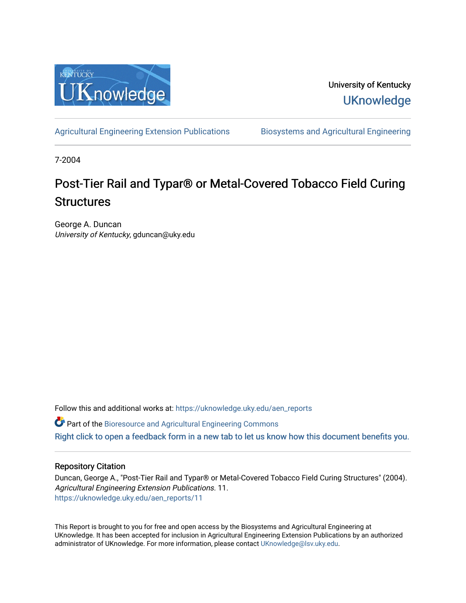

University of Kentucky **UKnowledge** 

[Agricultural Engineering Extension Publications](https://uknowledge.uky.edu/aen_reports) Biosystems and Agricultural Engineering

7-2004

# Post-Tier Rail and Typar® or Metal-Covered Tobacco Field Curing **Structures**

George A. Duncan University of Kentucky, gduncan@uky.edu

Follow this and additional works at: [https://uknowledge.uky.edu/aen\\_reports](https://uknowledge.uky.edu/aen_reports?utm_source=uknowledge.uky.edu%2Faen_reports%2F11&utm_medium=PDF&utm_campaign=PDFCoverPages)

Part of the [Bioresource and Agricultural Engineering Commons](http://network.bepress.com/hgg/discipline/1056?utm_source=uknowledge.uky.edu%2Faen_reports%2F11&utm_medium=PDF&utm_campaign=PDFCoverPages)

[Right click to open a feedback form in a new tab to let us know how this document benefits you.](https://uky.az1.qualtrics.com/jfe/form/SV_9mq8fx2GnONRfz7)

#### Repository Citation

Duncan, George A., "Post-Tier Rail and Typar® or Metal-Covered Tobacco Field Curing Structures" (2004). Agricultural Engineering Extension Publications. 11. [https://uknowledge.uky.edu/aen\\_reports/11](https://uknowledge.uky.edu/aen_reports/11?utm_source=uknowledge.uky.edu%2Faen_reports%2F11&utm_medium=PDF&utm_campaign=PDFCoverPages) 

This Report is brought to you for free and open access by the Biosystems and Agricultural Engineering at UKnowledge. It has been accepted for inclusion in Agricultural Engineering Extension Publications by an authorized administrator of UKnowledge. For more information, please contact [UKnowledge@lsv.uky.edu](mailto:UKnowledge@lsv.uky.edu).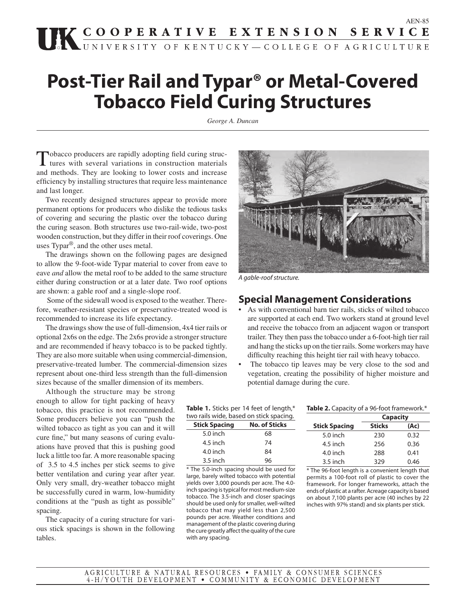# **THE COOPERATIVE EXTENSION SERVICE**

# **Post-Tier Rail and Typar® or Metal-Covered Tobacco Field Curing Structures**

*George A. Duncan*

Tobacco producers are rapidly adopting field curing struc-tures with several variations in construction materials and methods. They are looking to lower costs and increase efficiency by installing structures that require less maintenance and last longer.

 Two recently designed structures appear to provide more permanent options for producers who dislike the tedious tasks of covering and securing the plastic over the tobacco during the curing season. Both structures use two-rail-wide, two-post wooden construction, but they differ in their roof coverings. One uses Typar®, and the other uses metal.

 The drawings shown on the following pages are designed to allow the 9-foot-wide Typar material to cover from eave to eave *and* allow the metal roof to be added to the same structure either during construction or at a later date. Two roof options are shown: a gable roof and a single-slope roof.

 Some of the sidewall wood is exposed to the weather. Therefore, weather-resistant species or preservative-treated wood is recommended to increase its life expectancy.

 The drawings show the use of full-dimension, 4x4 tier rails or optional 2x6s on the edge. The 2x6s provide a stronger structure and are recommended if heavy tobacco is to be packed tightly. They are also more suitable when using commercial-dimension, preservative-treated lumber. The commercial-dimension sizes represent about one-third less strength than the full-dimension sizes because of the smaller dimension of its members.

 Although the structure may be strong enough to allow for tight packing of heavy tobacco, this practice is not recommended. Some producers believe you can "push the wilted tobacco as tight as you can and it will cure fine," but many seasons of curing evaluations have proved that this is pushing good luck a little too far. A more reasonable spacing of 3.5 to 4.5 inches per stick seems to give better ventilation and curing year after year. Only very small, dry-weather tobacco might be successfully cured in warm, low-humidity conditions at the "push as tight as possible" spacing.

 The capacity of a curing structure for various stick spacings is shown in the following tables.



A gable-roof structure.

#### **Special Management Considerations**

- As with conventional barn tier rails, sticks of wilted tobacco are supported at each end. Two workers stand at ground level and receive the tobacco from an adjacent wagon or transport trailer. They then pass the tobacco under a 6-foot-high tier rail and hang the sticks up on the tier rails. Some workers may have difficulty reaching this height tier rail with heavy tobacco.
- The tobacco tip leaves may be very close to the sod and vegetation, creating the possibility of higher moisture and potential damage during the cure.

**Table 1.** Sticks per 14 feet of length,\* two rails wide, based on stick spacing.

| <b>Stick Spacing</b> | <b>No. of Sticks</b> |
|----------------------|----------------------|
| 5.0 inch             | 68                   |
| 4.5 inch             | 74                   |
| 4.0 inch             | 84                   |
| $3.5$ inch           | 96                   |

\* The 5.0-inch spacing should be used for large, barely wilted tobacco with potential yields over 3,000 pounds per acre. The 4.0 inch spacing is typical for most medium-size tobacco. The 3.5-inch and closer spacings should be used only for smaller, well-wilted tobacco that may yield less than 2,500 pounds per acre. Weather conditions and management of the plastic covering during the cure greatly affect the quality of the cure with any spacing.

| Table 2. Capacity of a 96-foot framework.* |  |
|--------------------------------------------|--|
|--------------------------------------------|--|

|                      | <b>Capacity</b> |      |
|----------------------|-----------------|------|
| <b>Stick Spacing</b> | <b>Sticks</b>   | (Ac) |
| $5.0$ inch           | 230             | 0.32 |
| 4.5 inch             | 256             | 0.36 |
| 4.0 inch             | 288             | 0.41 |
| $3.5$ inch           | 329             | 0.46 |

\* The 96-foot length is a convenient length that permits a 100-foot roll of plastic to cover the framework. For longer frameworks, attach the ends of plastic at a rafter. Acreage capacity is based on about 7,100 plants per acre (40 inches by 22 inches with 97% stand) and six plants per stick.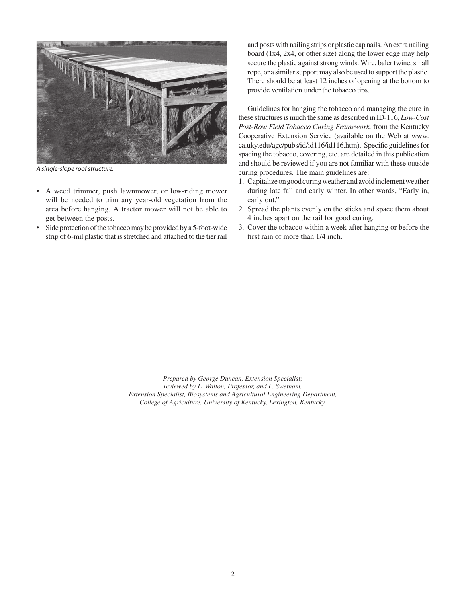

A single-slope roof structure.

- A weed trimmer, push lawnmower, or low-riding mower will be needed to trim any year-old vegetation from the area before hanging. A tractor mower will not be able to get between the posts.
- Side protection of the tobacco may be provided by a 5-foot-wide strip of 6-mil plastic that is stretched and attached to the tier rail

and posts with nailing strips or plastic cap nails. An extra nailing board (1x4, 2x4, or other size) along the lower edge may help secure the plastic against strong winds. Wire, baler twine, small rope, or a similar support may also be used to support the plastic. There should be at least 12 inches of opening at the bottom to provide ventilation under the tobacco tips.

 Guidelines for hanging the tobacco and managing the cure in these structures is much the same as described in ID-116, *Low-Cost Post-Row Field Tobacco Curing Framework,* from the Kentucky Cooperative Extension Service (available on the Web at www. ca.uky.edu/agc/pubs/id/id116/id116.htm). Specific guidelines for spacing the tobacco, covering, etc. are detailed in this publication and should be reviewed if you are not familiar with these outside curing procedures. The main guidelines are:

- 1. Capitalize on good curing weather and avoid inclement weather during late fall and early winter. In other words, "Early in, early out."
- 2. Spread the plants evenly on the sticks and space them about 4 inches apart on the rail for good curing.
- 3. Cover the tobacco within a week after hanging or before the first rain of more than 1/4 inch.

*Prepared by George Duncan, Extension Specialist; reviewed by L. Walton, Professor, and L. Swetnam, Extension Specialist, Biosystems and Agricultural Engineering Department, College of Agriculture, University of Kentucky, Lexington, Kentucky.*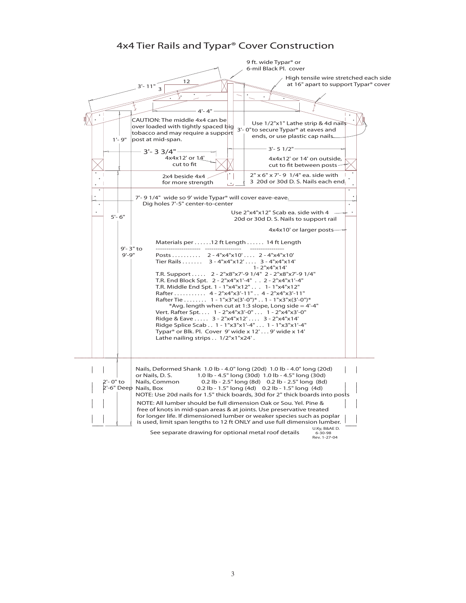#### 4x4 Tier Rails and Typar® Cover Construction

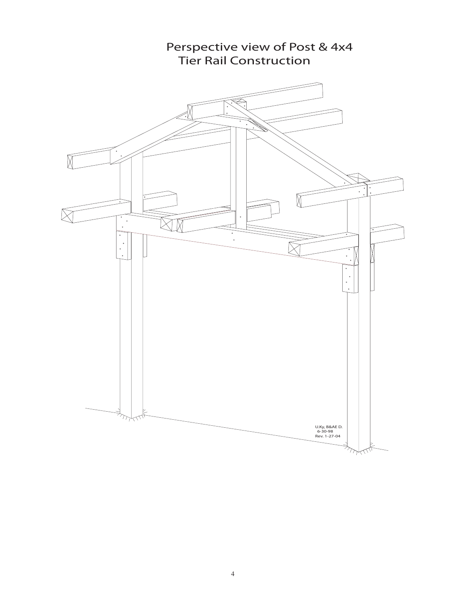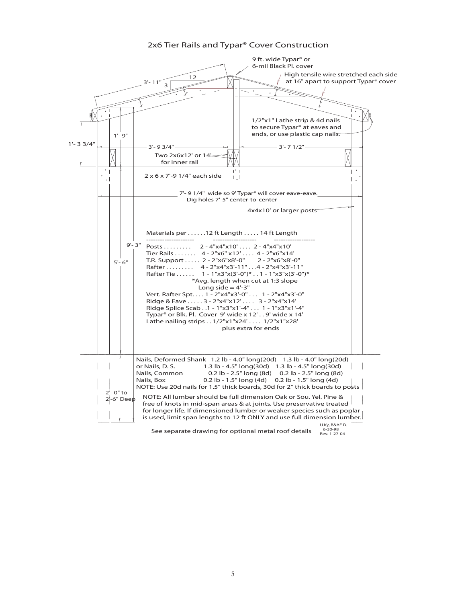#### 2x6 Tier Rails and Typar® Cover Construction

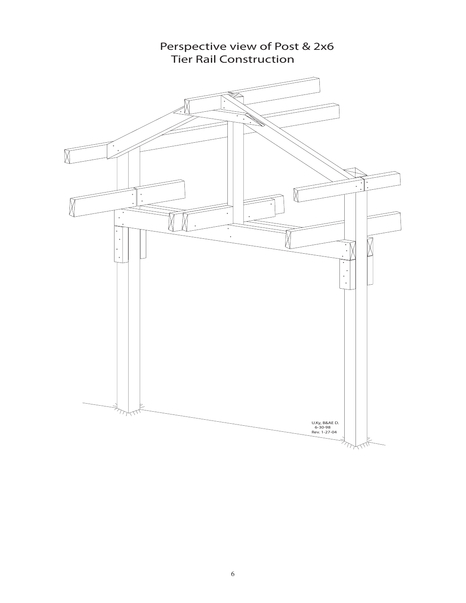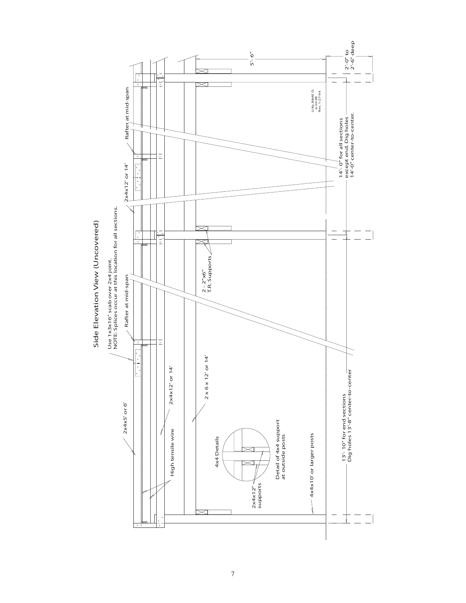

Side Elevation View (Uncovered) Side Elevation View (Uncovered)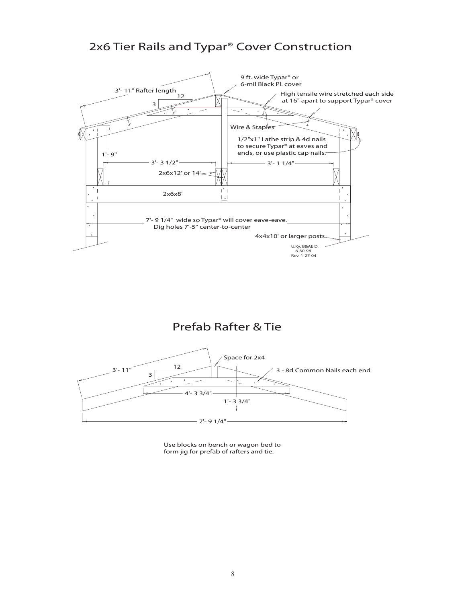## 2x6 Tier Rails and Typar® Cover Construction



## Prefab Rafter & Tie



Use blocks on bench or wagon bed to form jig for prefab of rafters and tie.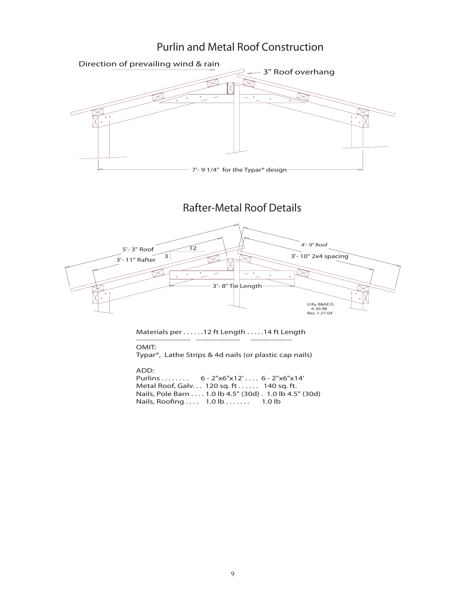### Purlin and Metal Roof Construction



Purlins . . . . . . . . 6 - 2"x6"x12' . . . . 6 - 2"x6"x14' Metal Roof, Galv. . . 120 sq. ft . . . . . . 140 sq. ft. Nails, Pole Barn . . . . 1.0 lb 4.5" (30d) . 1.0 lb 4.5" (30d) Nails, Roofing . . . . 1.0 lb . . . . . . . 1.0 lb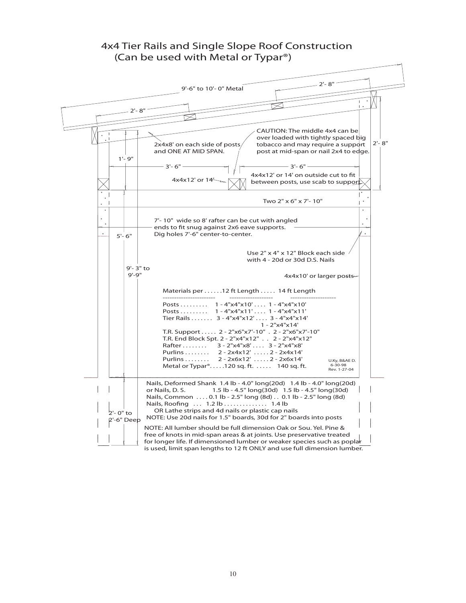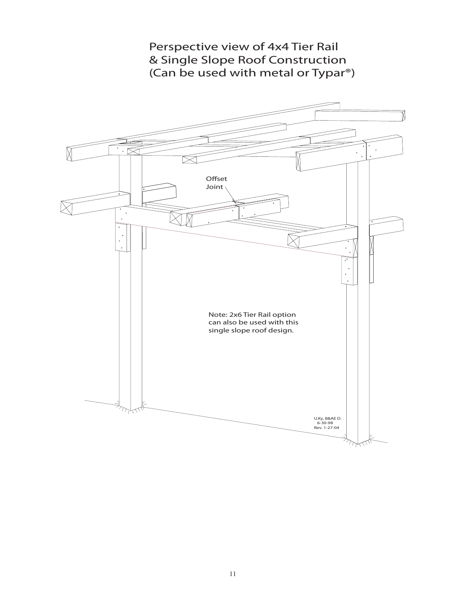